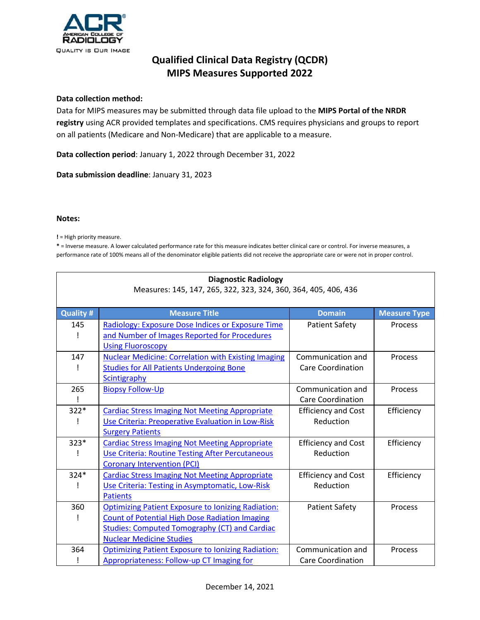

#### **Data collection method:**

Data for MIPS measures may be submitted through data file upload to the **MIPS Portal of the NRDR registry** using ACR provided templates and specifications. CMS requires physicians and groups to report on all patients (Medicare and Non-Medicare) that are applicable to a measure.

**Data collection period**: January 1, 2022 through December 31, 2022

**Data submission deadline**: January 31, 2023

#### **Notes:**

**!** = High priority measure.

**\*** = Inverse measure. A lower calculated performance rate for this measure indicates better clinical care or control. For inverse measures, a performance rate of 100% means all of the denominator eligible patients did not receive the appropriate care or were not in proper control.

| <b>Diagnostic Radiology</b><br>Measures: 145, 147, 265, 322, 323, 324, 360, 364, 405, 406, 436 |                                                                                                                                                                                                               |                                               |                     |
|------------------------------------------------------------------------------------------------|---------------------------------------------------------------------------------------------------------------------------------------------------------------------------------------------------------------|-----------------------------------------------|---------------------|
| <b>Quality#</b>                                                                                | <b>Measure Title</b>                                                                                                                                                                                          | <b>Domain</b>                                 | <b>Measure Type</b> |
| 145                                                                                            | Radiology: Exposure Dose Indices or Exposure Time<br>and Number of Images Reported for Procedures<br><b>Using Fluoroscopy</b>                                                                                 | <b>Patient Safety</b>                         | Process             |
| 147                                                                                            | <b>Nuclear Medicine: Correlation with Existing Imaging</b><br><b>Studies for All Patients Undergoing Bone</b><br>Scintigraphy                                                                                 | Communication and<br>Care Coordination        | Process             |
| 265<br>ļ                                                                                       | <b>Biopsy Follow-Up</b>                                                                                                                                                                                       | Communication and<br><b>Care Coordination</b> | Process             |
| $322*$                                                                                         | <b>Cardiac Stress Imaging Not Meeting Appropriate</b><br>Use Criteria: Preoperative Evaluation in Low-Risk<br><b>Surgery Patients</b>                                                                         | <b>Efficiency and Cost</b><br>Reduction       | Efficiency          |
| $323*$                                                                                         | <b>Cardiac Stress Imaging Not Meeting Appropriate</b><br>Use Criteria: Routine Testing After Percutaneous<br><b>Coronary Intervention (PCI)</b>                                                               | <b>Efficiency and Cost</b><br>Reduction       | Efficiency          |
| $324*$                                                                                         | <b>Cardiac Stress Imaging Not Meeting Appropriate</b><br>Use Criteria: Testing in Asymptomatic, Low-Risk<br><b>Patients</b>                                                                                   | <b>Efficiency and Cost</b><br>Reduction       | Efficiency          |
| 360                                                                                            | <b>Optimizing Patient Exposure to Ionizing Radiation:</b><br><b>Count of Potential High Dose Radiation Imaging</b><br><b>Studies: Computed Tomography (CT) and Cardiac</b><br><b>Nuclear Medicine Studies</b> | <b>Patient Safety</b>                         | Process             |
| 364                                                                                            | <b>Optimizing Patient Exposure to lonizing Radiation:</b><br><b>Appropriateness: Follow-up CT Imaging for</b>                                                                                                 | Communication and<br><b>Care Coordination</b> | Process             |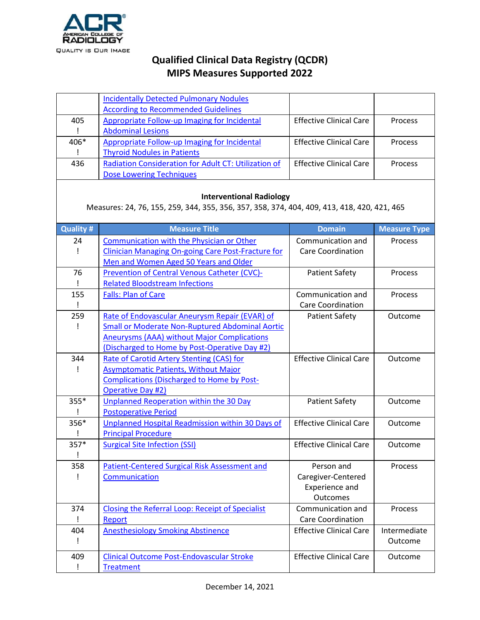

|                                                                                                                                | <b>Incidentally Detected Pulmonary Nodules</b>         |                                |                     |
|--------------------------------------------------------------------------------------------------------------------------------|--------------------------------------------------------|--------------------------------|---------------------|
|                                                                                                                                | <b>According to Recommended Guidelines</b>             |                                |                     |
| 405                                                                                                                            | Appropriate Follow-up Imaging for Incidental           | <b>Effective Clinical Care</b> | Process             |
| $\mathsf{I}$                                                                                                                   | <b>Abdominal Lesions</b>                               |                                |                     |
| 406*                                                                                                                           | Appropriate Follow-up Imaging for Incidental           | <b>Effective Clinical Care</b> | Process             |
| Ţ                                                                                                                              | <b>Thyroid Nodules in Patients</b>                     |                                |                     |
| 436                                                                                                                            | Radiation Consideration for Adult CT: Utilization of   | <b>Effective Clinical Care</b> | Process             |
|                                                                                                                                | <b>Dose Lowering Techniques</b>                        |                                |                     |
| <b>Interventional Radiology</b><br>Measures: 24, 76, 155, 259, 344, 355, 356, 357, 358, 374, 404, 409, 413, 418, 420, 421, 465 |                                                        |                                |                     |
| <b>Quality#</b>                                                                                                                | <b>Measure Title</b>                                   | <b>Domain</b>                  | <b>Measure Type</b> |
| 24                                                                                                                             | Communication with the Physician or Other              | Communication and              | Process             |
| $\mathbf{I}$                                                                                                                   | Clinician Managing On-going Care Post-Fracture for     | Care Coordination              |                     |
|                                                                                                                                | Men and Women Aged 50 Years and Older                  |                                |                     |
| 76                                                                                                                             | Prevention of Central Venous Catheter (CVC)-           | <b>Patient Safety</b>          | Process             |
| Ţ                                                                                                                              | <b>Related Bloodstream Infections</b>                  |                                |                     |
| 155                                                                                                                            | <b>Falls: Plan of Care</b>                             | Communication and              | Process             |
|                                                                                                                                |                                                        | Care Coordination              |                     |
| 259                                                                                                                            | Rate of Endovascular Aneurysm Repair (EVAR) of         | <b>Patient Safety</b>          | Outcome             |
| Ţ                                                                                                                              | <b>Small or Moderate Non-Ruptured Abdominal Aortic</b> |                                |                     |
|                                                                                                                                | <b>Aneurysms (AAA) without Major Complications</b>     |                                |                     |
|                                                                                                                                | (Discharged to Home by Post-Operative Day #2)          |                                |                     |
| 344                                                                                                                            | Rate of Carotid Artery Stenting (CAS) for              | <b>Effective Clinical Care</b> | Outcome             |
|                                                                                                                                | <b>Asymptomatic Patients, Without Major</b>            |                                |                     |
|                                                                                                                                | <b>Complications (Discharged to Home by Post-</b>      |                                |                     |
|                                                                                                                                | Operative Day #2)                                      |                                |                     |
| 355*                                                                                                                           | <b>Unplanned Reoperation within the 30 Day</b>         | <b>Patient Safety</b>          | Outcome             |
|                                                                                                                                | <b>Postoperative Period</b>                            |                                |                     |
| 356*                                                                                                                           | Unplanned Hospital Readmission within 30 Days of       | <b>Effective Clinical Care</b> | Outcome             |
|                                                                                                                                | <b>Principal Procedure</b>                             |                                |                     |
| 357*<br>Ţ                                                                                                                      | <b>Surgical Site Infection (SSI)</b>                   | <b>Effective Clinical Care</b> | Outcome             |
| 358                                                                                                                            | Patient-Centered Surgical Risk Assessment and          | Person and                     | Process             |
|                                                                                                                                | Communication                                          | Caregiver-Centered             |                     |
|                                                                                                                                |                                                        | Experience and                 |                     |
|                                                                                                                                |                                                        | Outcomes                       |                     |
| 374                                                                                                                            | Closing the Referral Loop: Receipt of Specialist       | Communication and              | Process             |
| Ţ                                                                                                                              | Report                                                 | <b>Care Coordination</b>       |                     |
| 404                                                                                                                            | <b>Anesthesiology Smoking Abstinence</b>               | <b>Effective Clinical Care</b> | Intermediate        |
| Ţ                                                                                                                              |                                                        |                                | Outcome             |
| 409                                                                                                                            | <b>Clinical Outcome Post-Endovascular Stroke</b>       | <b>Effective Clinical Care</b> | Outcome             |
| Ţ                                                                                                                              | <b>Treatment</b>                                       |                                |                     |
|                                                                                                                                |                                                        |                                |                     |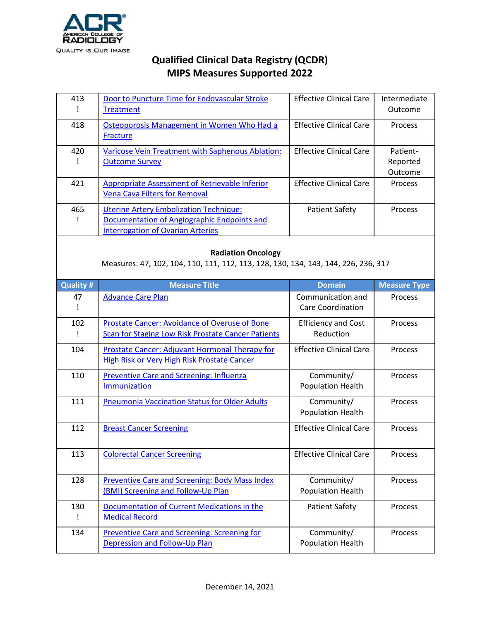

| 413 | Door to Puncture Time for Endovascular Stroke<br>Treatment | <b>Effective Clinical Care</b> | Intermediate<br>Outcome |
|-----|------------------------------------------------------------|--------------------------------|-------------------------|
| 418 | Osteoporosis Management in Women Who Had a<br>Fracture     | <b>Effective Clinical Care</b> | Process                 |
| 420 | Varicose Vein Treatment with Saphenous Ablation:           | <b>Effective Clinical Care</b> | Patient-                |
|     | <b>Outcome Survey</b>                                      |                                | Reported                |
|     |                                                            |                                | Outcome                 |
| 421 | Appropriate Assessment of Retrievable Inferior             | <b>Effective Clinical Care</b> | Process                 |
|     | <b>Vena Cava Filters for Removal</b>                       |                                |                         |
| 465 | <b>Uterine Artery Embolization Technique:</b>              | <b>Patient Safety</b>          | Process                 |
|     | Documentation of Angiographic Endpoints and                |                                |                         |
|     | <b>Interrogation of Ovarian Arteries</b>                   |                                |                         |

#### **Radiation Oncology**

Measures: 47, 102, 104, 110, 111, 112, 113, 128, 130, 134, 143, 144, 226, 236, 317

| <b>Quality #</b> | <b>Measure Title</b>                                                                                       | <b>Domain</b>                           | <b>Measure Type</b> |
|------------------|------------------------------------------------------------------------------------------------------------|-----------------------------------------|---------------------|
| 47               | <b>Advance Care Plan</b>                                                                                   | Communication and<br>Care Coordination  | Process             |
| 102              | Prostate Cancer: Avoidance of Overuse of Bone<br><b>Scan for Staging Low Risk Prostate Cancer Patients</b> | <b>Efficiency and Cost</b><br>Reduction | Process             |
| 104              | Prostate Cancer: Adjuvant Hormonal Therapy for<br><b>High Risk or Very High Risk Prostate Cancer</b>       | <b>Effective Clinical Care</b>          | Process             |
| 110              | <b>Preventive Care and Screening: Influenza</b><br>Immunization                                            | Community/<br>Population Health         | Process             |
| 111              | <b>Pneumonia Vaccination Status for Older Adults</b>                                                       | Community/<br>Population Health         | Process             |
| 112              | <b>Breast Cancer Screening</b>                                                                             | <b>Effective Clinical Care</b>          | Process             |
| 113              | <b>Colorectal Cancer Screening</b>                                                                         | <b>Effective Clinical Care</b>          | Process             |
| 128              | <b>Preventive Care and Screening: Body Mass Index</b><br>(BMI) Screening and Follow-Up Plan                | Community/<br>Population Health         | Process             |
| 130              | Documentation of Current Medications in the<br><b>Medical Record</b>                                       | <b>Patient Safety</b>                   | Process             |
| 134              | <b>Preventive Care and Screening: Screening for</b><br>Depression and Follow-Up Plan                       | Community/<br>Population Health         | Process             |